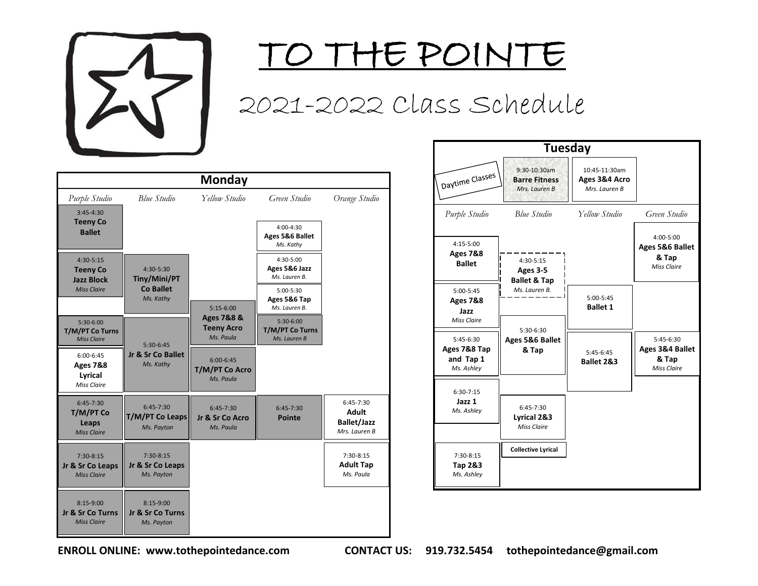

## TO THE POINTE

2021-2022 Class Schedule

|                                                                   |                                                | <b>Monday</b>                                |                                                     |                                                           |
|-------------------------------------------------------------------|------------------------------------------------|----------------------------------------------|-----------------------------------------------------|-----------------------------------------------------------|
| Purple Studio<br>$3:45-4:30$                                      | <b>Blue Studio</b>                             | Yellow Studio                                | Green Studio                                        | Orange Studio                                             |
| <b>Teeny Co</b><br><b>Ballet</b>                                  |                                                |                                              | 4:00-4:30<br>Ages 5&6 Ballet<br>Ms. Kathy           |                                                           |
| $4:30-5:15$<br><b>Teeny Co</b><br><b>Jazz Block</b>               | $4:30 - 5:30$<br>Tiny/Mini/PT                  |                                              | 4:30-5:00<br>Ages 5&6 Jazz<br>Ms. Lauren B.         |                                                           |
| <b>Miss Claire</b>                                                | <b>Co Ballet</b><br>Ms. Kathy                  | $5:15-6:00$<br>Ages 7&8 &                    | 5:00-5:30<br>Ages 5&6 Tap<br>Ms. Lauren B.          |                                                           |
| $5:30-6:00$<br><b>T/M/PT Co Turns</b><br>Miss Claire              | $5:30-6:45$                                    | <b>Teeny Acro</b><br>Ms. Paula               | 5:30-6:00<br><b>T/M/PT Co Turns</b><br>Ms. Lauren B |                                                           |
| 6:00-6:45<br><b>Ages 7&amp;8</b><br>Lyrical<br><b>Miss Claire</b> | Jr & Sr Co Ballet<br>Ms. Kathy                 | $6:00 - 6:45$<br>T/M/PT Co Acro<br>Ms. Paula |                                                     |                                                           |
| $6:45-7:30$<br>T/M/PT Co<br>Leaps<br><b>Miss Claire</b>           | $6:45 - 7:30$<br>T/M/PT Co Leaps<br>Ms. Payton | $6:45-7:30$<br>Jr & Sr Co Acro<br>Ms. Paula  | $6:45-7:30$<br><b>Pointe</b>                        | 6:45-7:30<br>Adult<br><b>Ballet/Jazz</b><br>Mrs. Lauren B |
| $7:30-8:15$<br>Jr & Sr Co Leaps<br><b>Miss Claire</b>             | $7:30-8:15$<br>Jr & Sr Co Leaps<br>Ms. Payton  |                                              |                                                     | 7:30-8:15<br><b>Adult Tap</b><br>Ms. Paula                |
| $8:15-9:00$<br>Jr & Sr Co Turns<br><b>Miss Claire</b>             | $8:15-9:00$<br>Jr & Sr Co Turns<br>Ms. Payton  |                                              |                                                     |                                                           |

|                                                         |                                                       | Tuesday                                         |                                                               |
|---------------------------------------------------------|-------------------------------------------------------|-------------------------------------------------|---------------------------------------------------------------|
| Daytime Classes                                         | 9:30-10:30am<br><b>Barre Fitness</b><br>Mrs. Lauren B | 10:45-11:30am<br>Ages 3&4 Acro<br>Mrs. Lauren B |                                                               |
| Purple Studio                                           | <b>Blue Studio</b>                                    | Yellow Studio                                   | Green Studio                                                  |
| $4:15 - 5:00$<br><b>Ages 7&amp;8</b><br><b>Ballet</b>   | $4:30 - 5:15$<br>Ages 3-5<br><b>Ballet &amp; Tap</b>  |                                                 | 4:00-5:00<br>Ages 5&6 Ballet<br>& Tap<br>Miss Claire          |
| 5:00-5:45<br><b>Ages 7&amp;8</b><br>Jazz<br>Miss Claire | Ms. Lauren B.                                         | 5:00-5:45<br><b>Ballet 1</b>                    |                                                               |
| 5:45-6:30<br>Ages 7&8 Tap<br>and Tap 1<br>Ms. Ashley    | 5:30-6:30<br>Ages 5&6 Ballet<br>& Tap                 | $5:45-6:45$<br>Ballet 2&3                       | $5:45-6:30$<br>Ages 3&4 Ballet<br>& Tap<br><b>Miss Claire</b> |
| $6:30-7:15$<br>Jazz 1<br>Ms. Ashley                     | 6:45-7:30<br>Lyrical 2&3<br>Miss Claire               |                                                 |                                                               |
| 7:30-8:15<br>Tap 2&3<br>Ms. Ashley                      | <b>Collective Lyrical</b>                             |                                                 |                                                               |